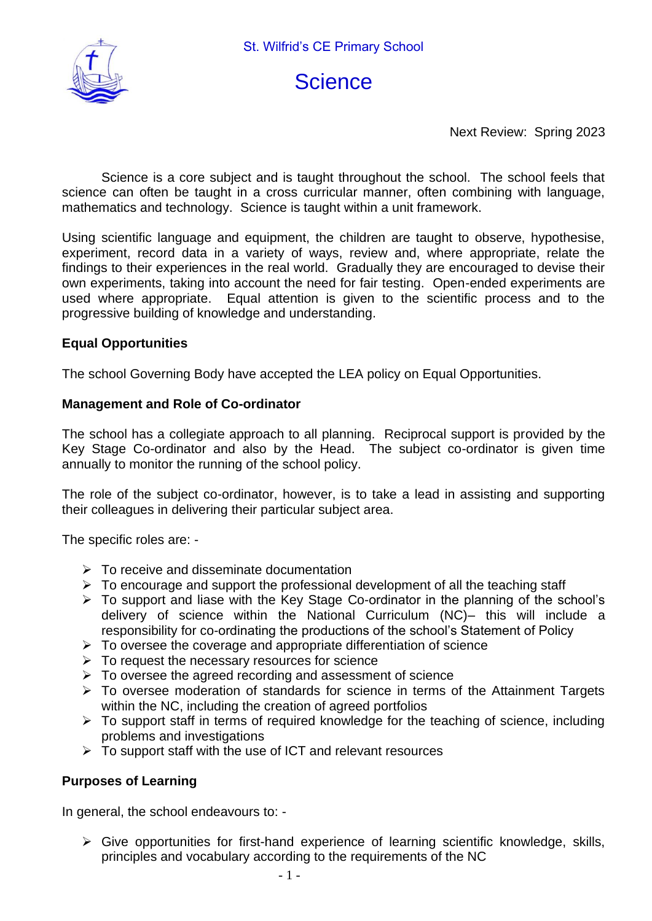

# **Science**

Next Review: Spring 2023

Science is a core subject and is taught throughout the school. The school feels that science can often be taught in a cross curricular manner, often combining with language, mathematics and technology. Science is taught within a unit framework.

Using scientific language and equipment, the children are taught to observe, hypothesise, experiment, record data in a variety of ways, review and, where appropriate, relate the findings to their experiences in the real world. Gradually they are encouraged to devise their own experiments, taking into account the need for fair testing. Open-ended experiments are used where appropriate. Equal attention is given to the scientific process and to the progressive building of knowledge and understanding.

#### **Equal Opportunities**

The school Governing Body have accepted the LEA policy on Equal Opportunities.

#### **Management and Role of Co-ordinator**

The school has a collegiate approach to all planning. Reciprocal support is provided by the Key Stage Co-ordinator and also by the Head. The subject co-ordinator is given time annually to monitor the running of the school policy.

The role of the subject co-ordinator, however, is to take a lead in assisting and supporting their colleagues in delivering their particular subject area.

The specific roles are: -

- $\triangleright$  To receive and disseminate documentation
- $\triangleright$  To encourage and support the professional development of all the teaching staff
- ➢ To support and liase with the Key Stage Co-ordinator in the planning of the school's delivery of science within the National Curriculum (NC)– this will include a responsibility for co-ordinating the productions of the school's Statement of Policy
- $\triangleright$  To oversee the coverage and appropriate differentiation of science
- ➢ To request the necessary resources for science
- ➢ To oversee the agreed recording and assessment of science
- ➢ To oversee moderation of standards for science in terms of the Attainment Targets within the NC, including the creation of agreed portfolios
- ➢ To support staff in terms of required knowledge for the teaching of science, including problems and investigations
- ➢ To support staff with the use of ICT and relevant resources

#### **Purposes of Learning**

In general, the school endeavours to: -

➢ Give opportunities for first-hand experience of learning scientific knowledge, skills, principles and vocabulary according to the requirements of the NC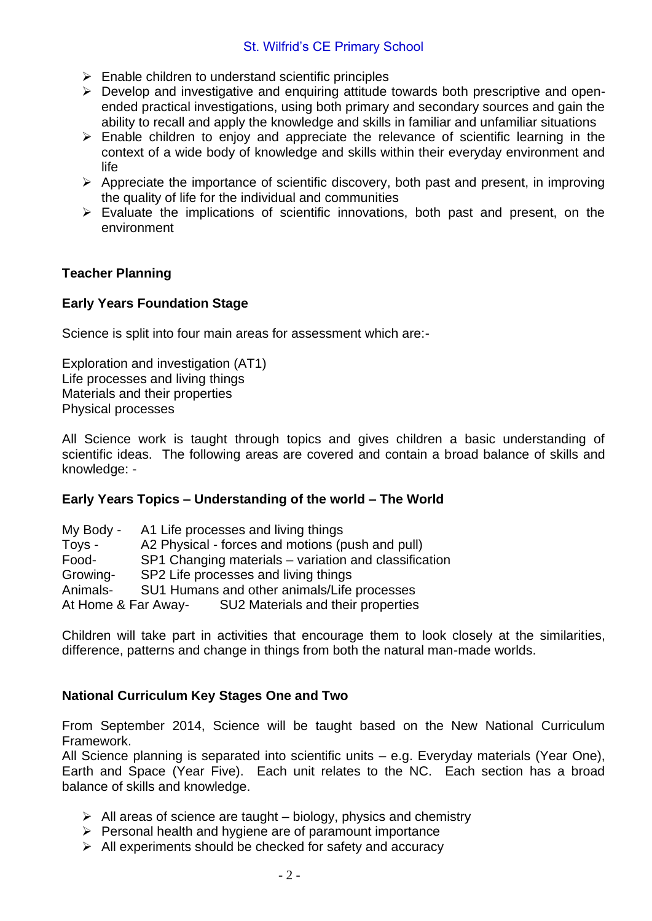## St. Wilfrid's CE Primary School

- $\triangleright$  Enable children to understand scientific principles
- ➢ Develop and investigative and enquiring attitude towards both prescriptive and openended practical investigations, using both primary and secondary sources and gain the ability to recall and apply the knowledge and skills in familiar and unfamiliar situations
- $\triangleright$  Enable children to enjoy and appreciate the relevance of scientific learning in the context of a wide body of knowledge and skills within their everyday environment and life
- $\triangleright$  Appreciate the importance of scientific discovery, both past and present, in improving the quality of life for the individual and communities
- $\triangleright$  Evaluate the implications of scientific innovations, both past and present, on the environment

## **Teacher Planning**

## **Early Years Foundation Stage**

Science is split into four main areas for assessment which are:-

Exploration and investigation (AT1) Life processes and living things Materials and their properties Physical processes

All Science work is taught through topics and gives children a basic understanding of scientific ideas. The following areas are covered and contain a broad balance of skills and knowledge: -

#### **Early Years Topics – Understanding of the world – The World**

My Body - A1 Life processes and living things Toys - A2 Physical - forces and motions (push and pull) Food- SP1 Changing materials – variation and classification Growing- SP2 Life processes and living things Animals- SU1 Humans and other animals/Life processes At Home & Far Away- SU2 Materials and their properties

Children will take part in activities that encourage them to look closely at the similarities, difference, patterns and change in things from both the natural man-made worlds.

## **National Curriculum Key Stages One and Two**

From September 2014, Science will be taught based on the New National Curriculum Framework.

All Science planning is separated into scientific units – e.g. Everyday materials (Year One), Earth and Space (Year Five). Each unit relates to the NC. Each section has a broad balance of skills and knowledge.

- $\triangleright$  All areas of science are taught biology, physics and chemistry
- ➢ Personal health and hygiene are of paramount importance
- $\triangleright$  All experiments should be checked for safety and accuracy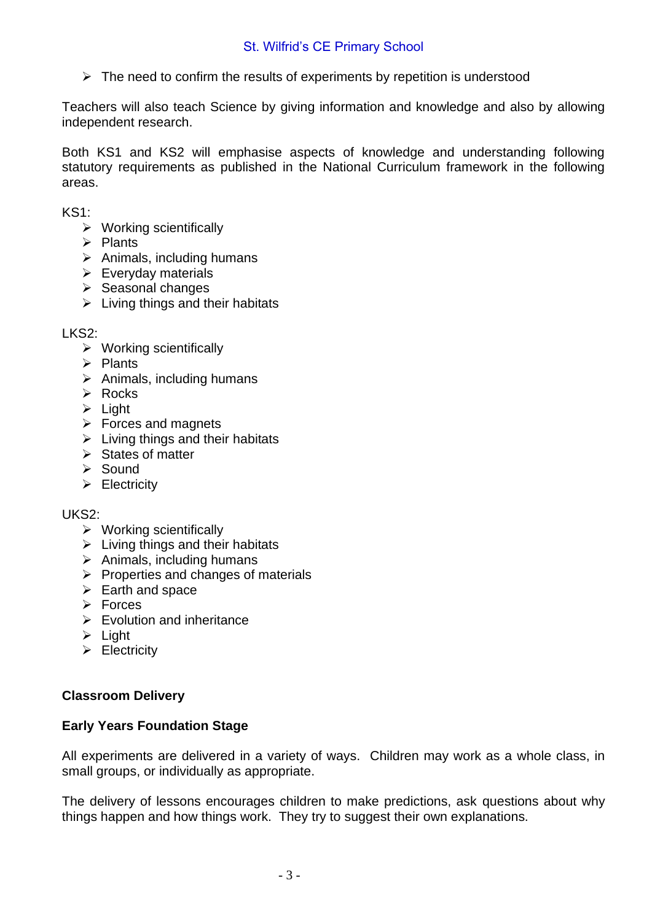$\triangleright$  The need to confirm the results of experiments by repetition is understood

Teachers will also teach Science by giving information and knowledge and also by allowing independent research.

Both KS1 and KS2 will emphasise aspects of knowledge and understanding following statutory requirements as published in the National Curriculum framework in the following areas.

KS1:

- ➢ Working scientifically
- ➢ Plants
- $\triangleright$  Animals, including humans
- $\triangleright$  Everyday materials
- ➢ Seasonal changes
- $\triangleright$  Living things and their habitats

LKS<sub>2</sub>:

- ➢ Working scientifically
- ➢ Plants
- $\triangleright$  Animals, including humans
- ➢ Rocks
- ➢ Light
- ➢ Forces and magnets
- $\triangleright$  Living things and their habitats
- ➢ States of matter
- ➢ Sound
- ➢ Electricity

#### UKS2:

- $\triangleright$  Working scientifically
- $\triangleright$  Living things and their habitats
- $\triangleright$  Animals, including humans
- $\triangleright$  Properties and changes of materials
- $\triangleright$  Earth and space
- ➢ Forces
- $\triangleright$  Evolution and inheritance
- ➢ Light
- ➢ Electricity

## **Classroom Delivery**

#### **Early Years Foundation Stage**

All experiments are delivered in a variety of ways. Children may work as a whole class, in small groups, or individually as appropriate.

The delivery of lessons encourages children to make predictions, ask questions about why things happen and how things work. They try to suggest their own explanations.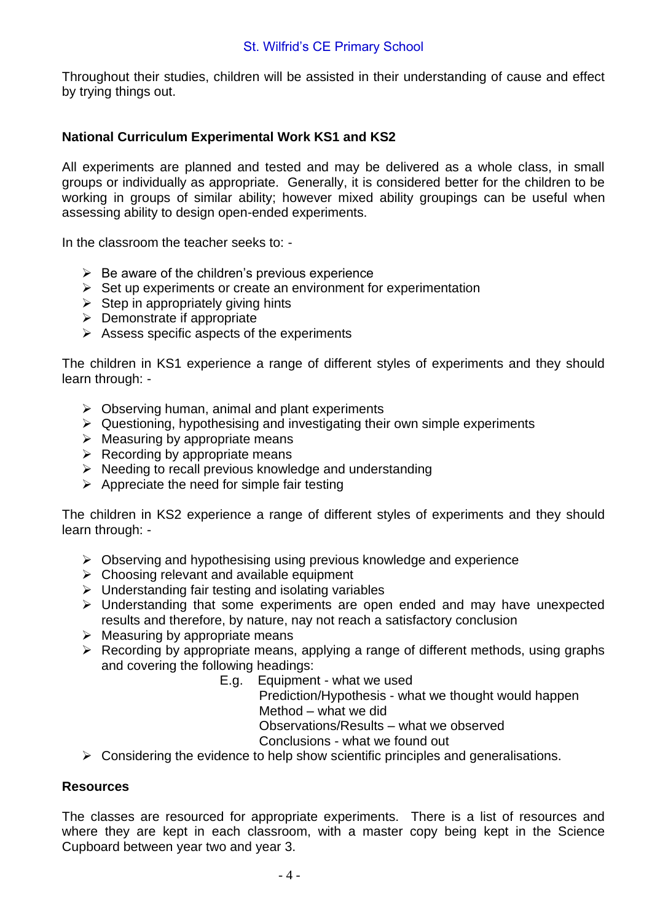Throughout their studies, children will be assisted in their understanding of cause and effect by trying things out.

## **National Curriculum Experimental Work KS1 and KS2**

All experiments are planned and tested and may be delivered as a whole class, in small groups or individually as appropriate. Generally, it is considered better for the children to be working in groups of similar ability; however mixed ability groupings can be useful when assessing ability to design open-ended experiments.

In the classroom the teacher seeks to: -

- $\triangleright$  Be aware of the children's previous experience
- $\triangleright$  Set up experiments or create an environment for experimentation
- $\triangleright$  Step in appropriately giving hints
- ➢ Demonstrate if appropriate
- $\triangleright$  Assess specific aspects of the experiments

The children in KS1 experience a range of different styles of experiments and they should learn through: -

- $\triangleright$  Observing human, animal and plant experiments
- ➢ Questioning, hypothesising and investigating their own simple experiments
- $\triangleright$  Measuring by appropriate means
- $\triangleright$  Recording by appropriate means
- ➢ Needing to recall previous knowledge and understanding
- $\triangleright$  Appreciate the need for simple fair testing

The children in KS2 experience a range of different styles of experiments and they should learn through: -

- $\triangleright$  Observing and hypothesising using previous knowledge and experience
- $\triangleright$  Choosing relevant and available equipment
- ➢ Understanding fair testing and isolating variables
- ➢ Understanding that some experiments are open ended and may have unexpected results and therefore, by nature, nay not reach a satisfactory conclusion
- $\triangleright$  Measuring by appropriate means
- ➢ Recording by appropriate means, applying a range of different methods, using graphs and covering the following headings:
	- E.g. Equipment what we used

Prediction/Hypothesis - what we thought would happen Method – what we did

Observations/Results – what we observed

Conclusions - what we found out

 $\triangleright$  Considering the evidence to help show scientific principles and generalisations.

#### **Resources**

The classes are resourced for appropriate experiments. There is a list of resources and where they are kept in each classroom, with a master copy being kept in the Science Cupboard between year two and year 3.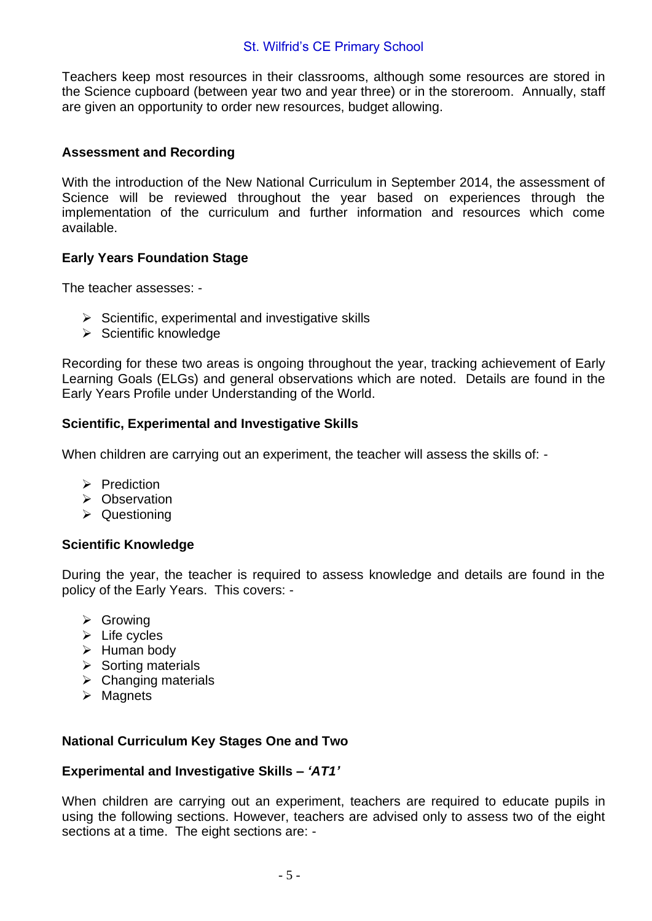#### St. Wilfrid's CE Primary School

Teachers keep most resources in their classrooms, although some resources are stored in the Science cupboard (between year two and year three) or in the storeroom. Annually, staff are given an opportunity to order new resources, budget allowing.

#### **Assessment and Recording**

With the introduction of the New National Curriculum in September 2014, the assessment of Science will be reviewed throughout the year based on experiences through the implementation of the curriculum and further information and resources which come available.

#### **Early Years Foundation Stage**

The teacher assesses: -

- $\triangleright$  Scientific, experimental and investigative skills
- ➢ Scientific knowledge

Recording for these two areas is ongoing throughout the year, tracking achievement of Early Learning Goals (ELGs) and general observations which are noted. Details are found in the Early Years Profile under Understanding of the World.

#### **Scientific, Experimental and Investigative Skills**

When children are carrying out an experiment, the teacher will assess the skills of: -

- ➢ Prediction
- ➢ Observation
- ➢ Questioning

#### **Scientific Knowledge**

During the year, the teacher is required to assess knowledge and details are found in the policy of the Early Years. This covers: -

- ➢ Growing
- $\triangleright$  Life cycles
- ➢ Human body
- ➢ Sorting materials
- $\triangleright$  Changing materials
- ➢ Magnets

#### **National Curriculum Key Stages One and Two**

#### **Experimental and Investigative Skills –** *'AT1'*

When children are carrying out an experiment, teachers are required to educate pupils in using the following sections. However, teachers are advised only to assess two of the eight sections at a time. The eight sections are: -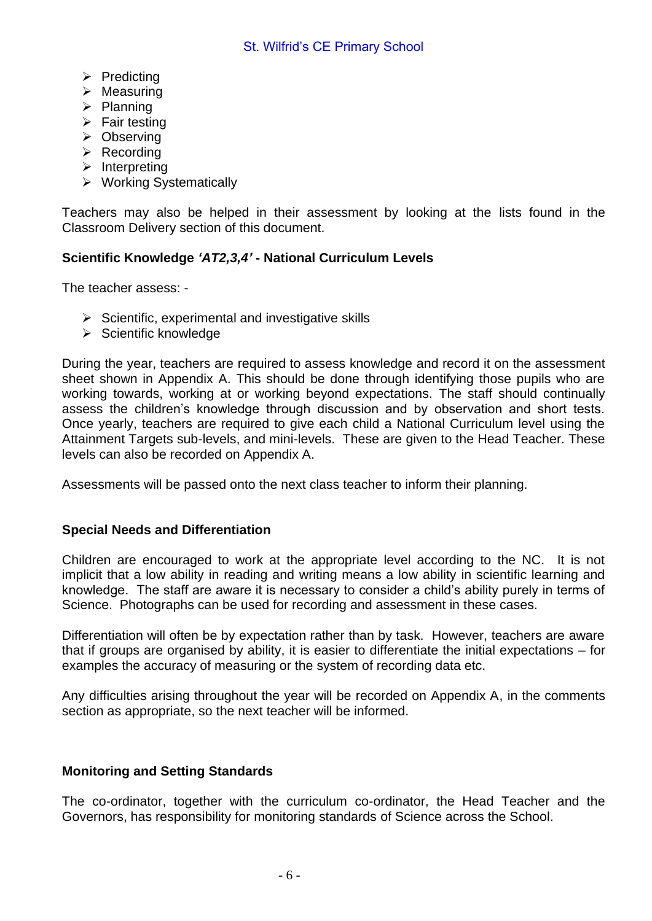- ➢ Predicting
- $\triangleright$  Measuring
- ➢ Planning
- $\triangleright$  Fair testing
- ➢ Observing
- ➢ Recording
- ➢ Interpreting
- ➢ Working Systematically

Teachers may also be helped in their assessment by looking at the lists found in the Classroom Delivery section of this document.

## **Scientific Knowledge** *'AT2,3,4'* **- National Curriculum Levels**

The teacher assess: -

- $\triangleright$  Scientific, experimental and investigative skills
- ➢ Scientific knowledge

During the year, teachers are required to assess knowledge and record it on the assessment sheet shown in Appendix A. This should be done through identifying those pupils who are working towards, working at or working beyond expectations. The staff should continually assess the children's knowledge through discussion and by observation and short tests. Once yearly, teachers are required to give each child a National Curriculum level using the Attainment Targets sub-levels, and mini-levels. These are given to the Head Teacher. These levels can also be recorded on Appendix A.

Assessments will be passed onto the next class teacher to inform their planning.

#### **Special Needs and Differentiation**

Children are encouraged to work at the appropriate level according to the NC. It is not implicit that a low ability in reading and writing means a low ability in scientific learning and knowledge. The staff are aware it is necessary to consider a child's ability purely in terms of Science. Photographs can be used for recording and assessment in these cases.

Differentiation will often be by expectation rather than by task. However, teachers are aware that if groups are organised by ability, it is easier to differentiate the initial expectations – for examples the accuracy of measuring or the system of recording data etc.

Any difficulties arising throughout the year will be recorded on Appendix A, in the comments section as appropriate, so the next teacher will be informed.

## **Monitoring and Setting Standards**

The co-ordinator, together with the curriculum co-ordinator, the Head Teacher and the Governors, has responsibility for monitoring standards of Science across the School.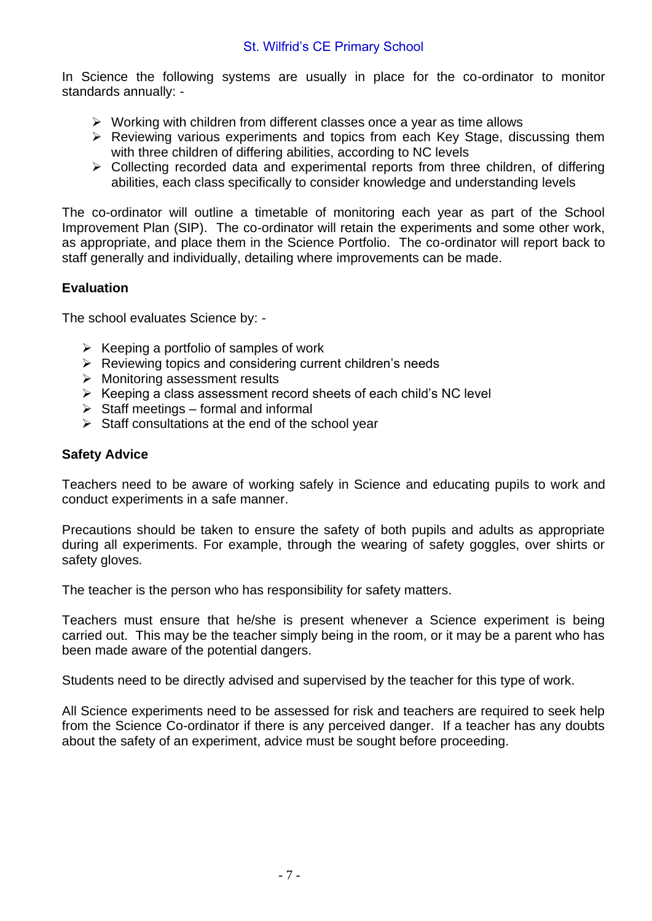In Science the following systems are usually in place for the co-ordinator to monitor standards annually: -

- ➢ Working with children from different classes once a year as time allows
- ➢ Reviewing various experiments and topics from each Key Stage, discussing them with three children of differing abilities, according to NC levels
- ➢ Collecting recorded data and experimental reports from three children, of differing abilities, each class specifically to consider knowledge and understanding levels

The co-ordinator will outline a timetable of monitoring each year as part of the School Improvement Plan (SIP). The co-ordinator will retain the experiments and some other work, as appropriate, and place them in the Science Portfolio. The co-ordinator will report back to staff generally and individually, detailing where improvements can be made.

## **Evaluation**

The school evaluates Science by: -

- $\triangleright$  Keeping a portfolio of samples of work
- ➢ Reviewing topics and considering current children's needs
- ➢ Monitoring assessment results
- ➢ Keeping a class assessment record sheets of each child's NC level
- $\triangleright$  Staff meetings formal and informal
- $\triangleright$  Staff consultations at the end of the school year

## **Safety Advice**

Teachers need to be aware of working safely in Science and educating pupils to work and conduct experiments in a safe manner.

Precautions should be taken to ensure the safety of both pupils and adults as appropriate during all experiments. For example, through the wearing of safety goggles, over shirts or safety gloves.

The teacher is the person who has responsibility for safety matters.

Teachers must ensure that he/she is present whenever a Science experiment is being carried out. This may be the teacher simply being in the room, or it may be a parent who has been made aware of the potential dangers.

Students need to be directly advised and supervised by the teacher for this type of work.

All Science experiments need to be assessed for risk and teachers are required to seek help from the Science Co-ordinator if there is any perceived danger. If a teacher has any doubts about the safety of an experiment, advice must be sought before proceeding.